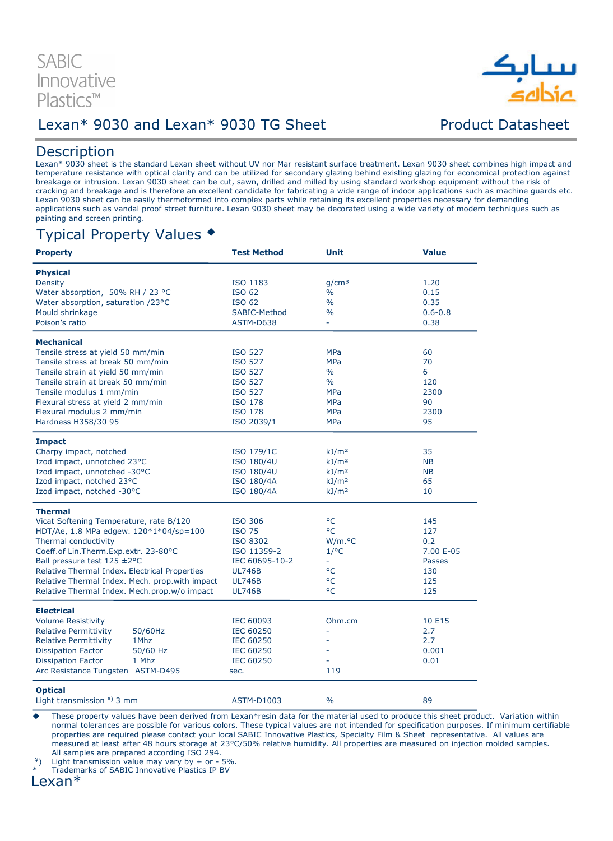

### Lexan\* 9030 and Lexan\* 9030 TG Sheet Product Datasheet

### **Description**

Lexan\* 9030 sheet is the standard Lexan sheet without UV nor Mar resistant surface treatment. Lexan 9030 sheet combines high impact and temperature resistance with optical clarity and can be utilized for secondary glazing behind existing glazing for economical protection against breakage or intrusion. Lexan 9030 sheet can be cut, sawn, drilled and milled by using standard workshop equipment without the risk of cracking and breakage and is therefore an excellent candidate for fabricating a wide range of indoor applications such as machine guards etc. Lexan 9030 sheet can be easily thermoformed into complex parts while retaining its excellent properties necessary for demanding applications such as vandal proof street furniture. Lexan 9030 sheet may be decorated using a wide variety of modern techniques such as painting and screen printing.

## Typical Property Values

| <b>Property</b>                                | <b>Test Method</b> | Unit                | <b>Value</b>  |
|------------------------------------------------|--------------------|---------------------|---------------|
| <b>Physical</b>                                |                    |                     |               |
| <b>Density</b>                                 | ISO 1183           | q/cm <sup>3</sup>   | 1.20          |
| Water absorption, 50% RH / 23 °C               | <b>ISO 62</b>      | $\frac{0}{0}$       | 0.15          |
| Water absorption, saturation /23°C             | <b>ISO 62</b>      | $\frac{0}{0}$       | 0.35          |
| Mould shrinkage                                | SABIC-Method       | %                   | $0.6 - 0.8$   |
| Poison's ratio                                 | ASTM-D638          | ÷.                  | 0.38          |
| <b>Mechanical</b>                              |                    |                     |               |
| Tensile stress at yield 50 mm/min              | <b>ISO 527</b>     | <b>MPa</b>          | 60            |
| Tensile stress at break 50 mm/min              | <b>ISO 527</b>     | <b>MPa</b>          | 70            |
| Tensile strain at yield 50 mm/min              | <b>ISO 527</b>     | $\frac{0}{0}$       | 6             |
|                                                |                    |                     | 120           |
| Tensile strain at break 50 mm/min              | <b>ISO 527</b>     | %                   |               |
| Tensile modulus 1 mm/min                       | <b>ISO 527</b>     | <b>MPa</b>          | 2300          |
| Flexural stress at yield 2 mm/min              | ISO 178            | <b>MPa</b>          | 90            |
| Flexural modulus 2 mm/min                      | ISO 178            | <b>MPa</b>          | 2300          |
| Hardness H358/30 95                            | ISO 2039/1         | <b>MPa</b>          | 95            |
| <b>Impact</b>                                  |                    |                     |               |
| Charpy impact, notched                         | ISO 179/1C         | kJ/m <sup>2</sup>   | 35            |
| Izod impact, unnotched 23°C                    | ISO 180/4U         | kJ/m <sup>2</sup>   | <b>NB</b>     |
| Izod impact, unnotched -30°C                   | ISO 180/4U         | kJ/m <sup>2</sup>   | <b>NB</b>     |
| Izod impact, notched 23°C                      | <b>ISO 180/4A</b>  | kJ/m <sup>2</sup>   | 65            |
| Izod impact, notched -30°C                     | <b>ISO 180/4A</b>  | kJ/m <sup>2</sup>   | 10            |
| <b>Thermal</b>                                 |                    |                     |               |
| Vicat Softening Temperature, rate B/120        | ISO 306            | °C                  | 145           |
| HDT/Ae, 1.8 MPa edgew. 120*1*04/sp=100         | <b>ISO 75</b>      | °C                  | 127           |
| Thermal conductivity                           | ISO 8302           | W/m. <sub>°</sub> C | 0.2           |
| Coeff.of Lin.Therm.Exp.extr. 23-80°C           | ISO 11359-2        | $1$ /°C             | 7.00 E-05     |
| Ball pressure test $125 \pm 2^{\circ}$ C       | IEC 60695-10-2     |                     | <b>Passes</b> |
| Relative Thermal Index. Electrical Properties  | <b>UL746B</b>      | °C                  | 130           |
| Relative Thermal Index. Mech. prop.with impact | <b>UL746B</b>      | °C                  | 125           |
| Relative Thermal Index. Mech.prop.w/o impact   | <b>UL746B</b>      | °C                  | 125           |
|                                                |                    |                     |               |
| <b>Electrical</b>                              |                    |                     |               |
| <b>Volume Resistivity</b>                      | IEC 60093          | Ohm.cm              | 10 E15        |
| <b>Relative Permittivity</b><br>50/60Hz        | <b>IEC 60250</b>   |                     | 2.7           |
| Relative Permittivity<br>1Mhz                  | <b>IEC 60250</b>   |                     | 2.7           |
| <b>Dissipation Factor</b><br>50/60 Hz          | <b>IEC 60250</b>   |                     | 0.001         |
| <b>Dissipation Factor</b><br>1 Mhz             | <b>IEC 60250</b>   |                     | 0.01          |
| Arc Resistance Tungsten ASTM-D495              | sec.               | 119                 |               |
| <b>Optical</b>                                 |                    |                     |               |
| Light transmission $4$ ) 3 mm                  | <b>ASTM-D1003</b>  | $\frac{0}{0}$       | 89            |

 These property values have been derived from Lexan\*resin data for the material used to produce this sheet product. Variation within normal tolerances are possible for various colors. These typical values are not intended for specification purposes. If minimum certifiable properties are required please contact your local SABIC Innovative Plastics, Specialty Film & Sheet representative. All values are measured at least after 48 hours storage at 23°C/50% relative humidity. All properties are measured on injection molded samples. All samples are prepared according ISO 294.

 $*$ ) Light transmission value may vary by + or - 5%.

Trademarks of SABIC Innovative Plastics IP BV

Lexan\*